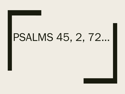# PSALMS 45, 2, 72…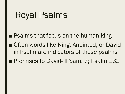## Royal Psalms

■ Psalms that focus on the human king ■ Often words like King, Anointed, or David in Psalm are indicators of these psalms ■ Promises to David- II Sam. 7; Psalm 132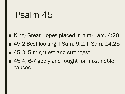#### Psalm 45

- King- Great Hopes placed in him- Lam. 4:20
- 45:2 Best looking- I Sam. 9:2; II Sam. 14:25
- 45:3, 5 mightiest and strongest
- 45:4, 6-7 godly and fought for most noble causes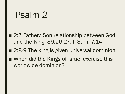### Psalm 2

- 2:7 Father/ Son relationship between God and the King- 89:26-27; II Sam. 7:14
- 2:8-9 The king is given universal dominion
- When did the Kings of Israel exercise this worldwide dominion?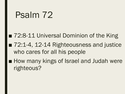## Psalm 72

■ 72:8-11 Universal Dominion of the King ■ 72:1-4, 12-14 Righteousness and justice who cares for all his people ■ How many kings of Israel and Judah were

righteous?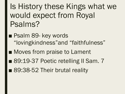Is History these Kings what we would expect from Royal Psalms?

- Psalm 89- key words "lovingkindness"and "faithfulness"
- Moves from praise to Lament
- 89:19-37 Poetic retelling II Sam. 7
- 89:38-52 Their brutal reality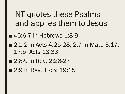NT quotes these Psalms and applies them to Jesus

- 45:6-7 in Hebrews 1:8-9
- 2:1-2 in Acts 4:25-28; 2:7 in Matt. 3:17; 17:5; Acts 13:33
- 2:8-9 in Rev. 2:26-27
- 2:9 in Rev. 12:5; 19:15